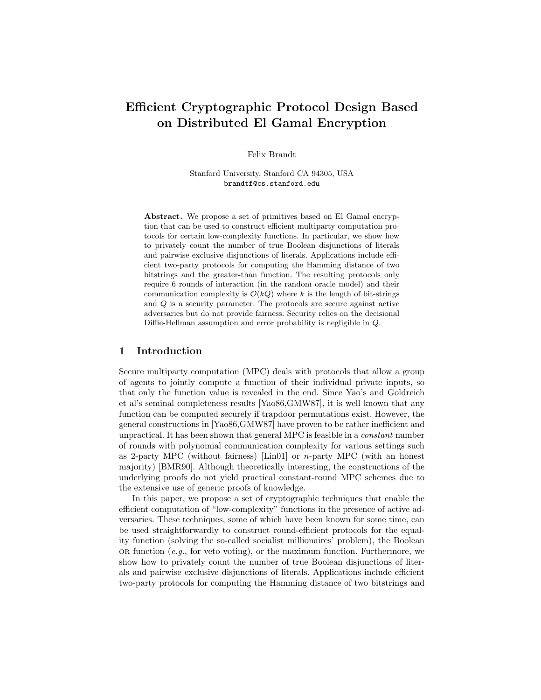# Efficient Cryptographic Protocol Design Based on Distributed El Gamal Encryption

Felix Brandt

Stanford University, Stanford CA 94305, USA brandtf@cs.stanford.edu

Abstract. We propose a set of primitives based on El Gamal encryption that can be used to construct efficient multiparty computation protocols for certain low-complexity functions. In particular, we show how to privately count the number of true Boolean disjunctions of literals and pairwise exclusive disjunctions of literals. Applications include efficient two-party protocols for computing the Hamming distance of two bitstrings and the greater-than function. The resulting protocols only require 6 rounds of interaction (in the random oracle model) and their communication complexity is  $\mathcal{O}(kQ)$  where k is the length of bit-strings and Q is a security parameter. The protocols are secure against active adversaries but do not provide fairness. Security relies on the decisional Diffie-Hellman assumption and error probability is negligible in Q.

## 1 Introduction

Secure multiparty computation (MPC) deals with protocols that allow a group of agents to jointly compute a function of their individual private inputs, so that only the function value is revealed in the end. Since Yao's and Goldreich et al's seminal completeness results [Yao86,GMW87], it is well known that any function can be computed securely if trapdoor permutations exist. However, the general constructions in [Yao86,GMW87] have proven to be rather inefficient and unpractical. It has been shown that general MPC is feasible in a constant number of rounds with polynomial communication complexity for various settings such as 2-party MPC (without fairness) [Lin01] or n-party MPC (with an honest majority) [BMR90]. Although theoretically interesting, the constructions of the underlying proofs do not yield practical constant-round MPC schemes due to the extensive use of generic proofs of knowledge.

In this paper, we propose a set of cryptographic techniques that enable the efficient computation of "low-complexity" functions in the presence of active adversaries. These techniques, some of which have been known for some time, can be used straightforwardly to construct round-efficient protocols for the equality function (solving the so-called socialist millionaires' problem), the Boolean OR function (e.g., for veto voting), or the maximum function. Furthermore, we show how to privately count the number of true Boolean disjunctions of literals and pairwise exclusive disjunctions of literals. Applications include efficient two-party protocols for computing the Hamming distance of two bitstrings and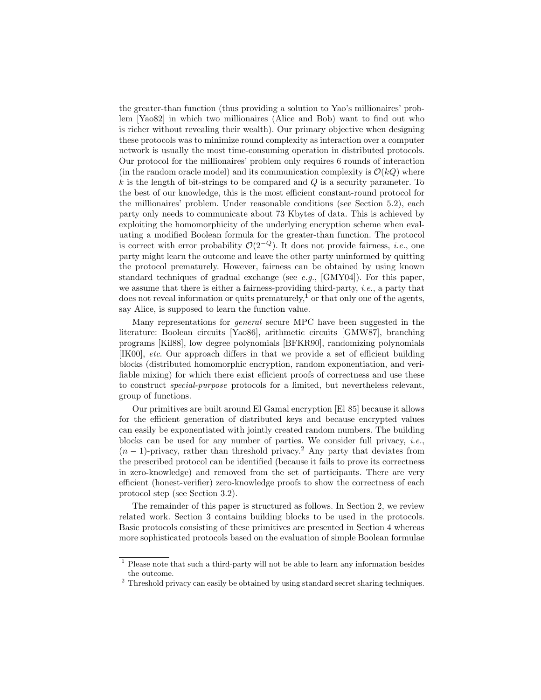the greater-than function (thus providing a solution to Yao's millionaires' problem [Yao82] in which two millionaires (Alice and Bob) want to find out who is richer without revealing their wealth). Our primary objective when designing these protocols was to minimize round complexity as interaction over a computer network is usually the most time-consuming operation in distributed protocols. Our protocol for the millionaires' problem only requires 6 rounds of interaction (in the random oracle model) and its communication complexity is  $\mathcal{O}(kQ)$  where  $k$  is the length of bit-strings to be compared and  $Q$  is a security parameter. To the best of our knowledge, this is the most efficient constant-round protocol for the millionaires' problem. Under reasonable conditions (see Section 5.2), each party only needs to communicate about 73 Kbytes of data. This is achieved by exploiting the homomorphicity of the underlying encryption scheme when evaluating a modified Boolean formula for the greater-than function. The protocol is correct with error probability  $\mathcal{O}(2^{-Q})$ . It does not provide fairness, *i.e.*, one party might learn the outcome and leave the other party uninformed by quitting the protocol prematurely. However, fairness can be obtained by using known standard techniques of gradual exchange (see  $e.g.,$  [GMY04]). For this paper, we assume that there is either a fairness-providing third-party, *i.e.*, a party that does not reveal information or quits prematurely,<sup>1</sup> or that only one of the agents, say Alice, is supposed to learn the function value.

Many representations for general secure MPC have been suggested in the literature: Boolean circuits [Yao86], arithmetic circuits [GMW87], branching programs [Kil88], low degree polynomials [BFKR90], randomizing polynomials [IK00], etc. Our approach differs in that we provide a set of efficient building blocks (distributed homomorphic encryption, random exponentiation, and verifiable mixing) for which there exist efficient proofs of correctness and use these to construct special-purpose protocols for a limited, but nevertheless relevant, group of functions.

Our primitives are built around El Gamal encryption [El 85] because it allows for the efficient generation of distributed keys and because encrypted values can easily be exponentiated with jointly created random numbers. The building blocks can be used for any number of parties. We consider full privacy, *i.e.*,  $(n-1)$ -privacy, rather than threshold privacy.<sup>2</sup> Any party that deviates from the prescribed protocol can be identified (because it fails to prove its correctness in zero-knowledge) and removed from the set of participants. There are very efficient (honest-verifier) zero-knowledge proofs to show the correctness of each protocol step (see Section 3.2).

The remainder of this paper is structured as follows. In Section 2, we review related work. Section 3 contains building blocks to be used in the protocols. Basic protocols consisting of these primitives are presented in Section 4 whereas more sophisticated protocols based on the evaluation of simple Boolean formulae

<sup>&</sup>lt;sup>1</sup> Please note that such a third-party will not be able to learn any information besides the outcome.

<sup>&</sup>lt;sup>2</sup> Threshold privacy can easily be obtained by using standard secret sharing techniques.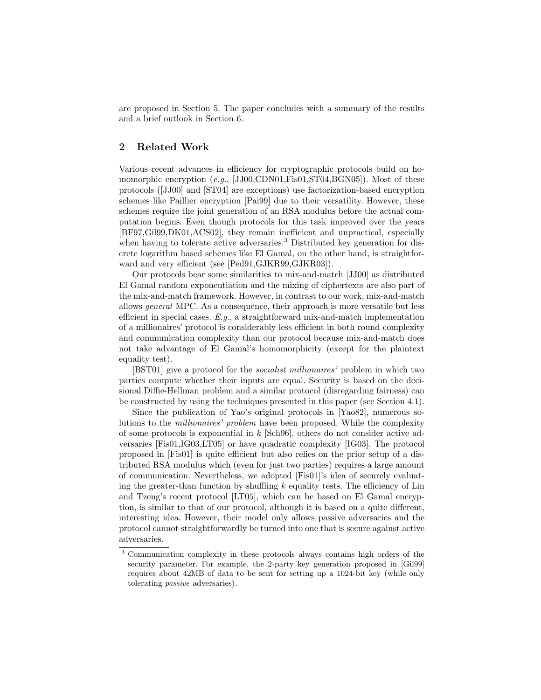are proposed in Section 5. The paper concludes with a summary of the results and a brief outlook in Section 6.

## 2 Related Work

Various recent advances in efficiency for cryptographic protocols build on homomorphic encryption (e.g., [JJ00,CDN01,Fis01,ST04,BGN05]). Most of these protocols ([JJ00] and [ST04] are exceptions) use factorization-based encryption schemes like Paillier encryption [Pai99] due to their versatility. However, these schemes require the joint generation of an RSA modulus before the actual computation begins. Even though protocols for this task improved over the years [BF97,Gil99,DK01,ACS02], they remain inefficient and unpractical, especially when having to tolerate active adversaries.<sup>3</sup> Distributed key generation for discrete logarithm based schemes like El Gamal, on the other hand, is straightforward and very efficient (see [Ped91,GJKR99,GJKR03]).

Our protocols bear some similarities to mix-and-match [JJ00] as distributed El Gamal random exponentiation and the mixing of ciphertexts are also part of the mix-and-match framework. However, in contrast to our work, mix-and-match allows general MPC. As a consequence, their approach is more versatile but less efficient in special cases.  $E.g.,$  a straightforward mix-and-match implementation of a millionaires' protocol is considerably less efficient in both round complexity and communication complexity than our protocol because mix-and-match does not take advantage of El Gamal's homomorphicity (except for the plaintext equality test).

[BST01] give a protocol for the socialist millionaires' problem in which two parties compute whether their inputs are equal. Security is based on the decisional Diffie-Hellman problem and a similar protocol (disregarding fairness) can be constructed by using the techniques presented in this paper (see Section 4.1).

Since the publication of Yao's original protocols in [Yao82], numerous solutions to the millionaires' problem have been proposed. While the complexity of some protocols is exponential in  $k$  [Sch96], others do not consider active adversaries [Fis01,IG03,LT05] or have quadratic complexity [IG03]. The protocol proposed in [Fis01] is quite efficient but also relies on the prior setup of a distributed RSA modulus which (even for just two parties) requires a large amount of communication. Nevertheless, we adopted [Fis01]'s idea of securely evaluating the greater-than function by shuffling  $k$  equality tests. The efficiency of Lin and Tzeng's recent protocol [LT05], which can be based on El Gamal encryption, is similar to that of our protocol, although it is based on a quite different, interesting idea. However, their model only allows passive adversaries and the protocol cannot straightforwardly be turned into one that is secure against active adversaries.

<sup>3</sup> Communication complexity in these protocols always contains high orders of the security parameter. For example, the 2-party key generation proposed in [Gil99] requires about 42MB of data to be sent for setting up a 1024-bit key (while only tolerating passive adversaries).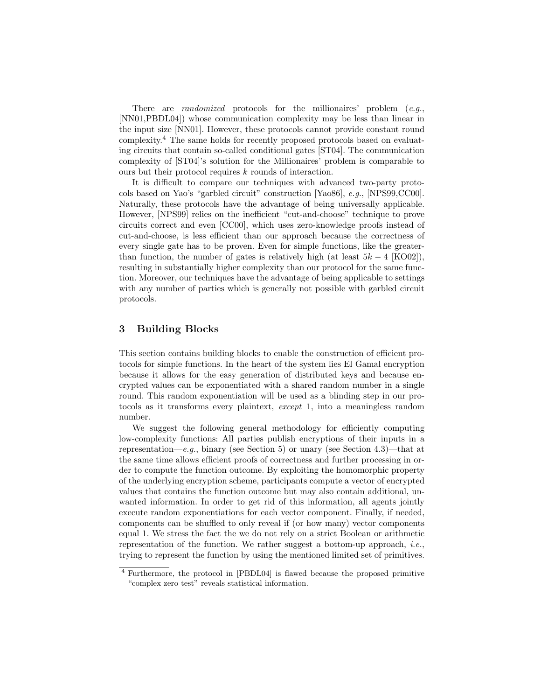There are *randomized* protocols for the millionaires' problem  $(e.g.,)$ [NN01,PBDL04]) whose communication complexity may be less than linear in the input size [NN01]. However, these protocols cannot provide constant round complexity.<sup>4</sup> The same holds for recently proposed protocols based on evaluating circuits that contain so-called conditional gates [ST04]. The communication complexity of [ST04]'s solution for the Millionaires' problem is comparable to ours but their protocol requires k rounds of interaction.

It is difficult to compare our techniques with advanced two-party protocols based on Yao's "garbled circuit" construction [Yao86], e.g., [NPS99,CC00]. Naturally, these protocols have the advantage of being universally applicable. However, [NPS99] relies on the inefficient "cut-and-choose" technique to prove circuits correct and even [CC00], which uses zero-knowledge proofs instead of cut-and-choose, is less efficient than our approach because the correctness of every single gate has to be proven. Even for simple functions, like the greaterthan function, the number of gates is relatively high (at least  $5k - 4$  [KO02]), resulting in substantially higher complexity than our protocol for the same function. Moreover, our techniques have the advantage of being applicable to settings with any number of parties which is generally not possible with garbled circuit protocols.

## 3 Building Blocks

This section contains building blocks to enable the construction of efficient protocols for simple functions. In the heart of the system lies El Gamal encryption because it allows for the easy generation of distributed keys and because encrypted values can be exponentiated with a shared random number in a single round. This random exponentiation will be used as a blinding step in our protocols as it transforms every plaintext, except 1, into a meaningless random number.

We suggest the following general methodology for efficiently computing low-complexity functions: All parties publish encryptions of their inputs in a representation—e.g., binary (see Section 5) or unary (see Section 4.3)—that at the same time allows efficient proofs of correctness and further processing in order to compute the function outcome. By exploiting the homomorphic property of the underlying encryption scheme, participants compute a vector of encrypted values that contains the function outcome but may also contain additional, unwanted information. In order to get rid of this information, all agents jointly execute random exponentiations for each vector component. Finally, if needed, components can be shuffled to only reveal if (or how many) vector components equal 1. We stress the fact the we do not rely on a strict Boolean or arithmetic representation of the function. We rather suggest a bottom-up approach, *i.e.*, trying to represent the function by using the mentioned limited set of primitives.

<sup>4</sup> Furthermore, the protocol in [PBDL04] is flawed because the proposed primitive "complex zero test" reveals statistical information.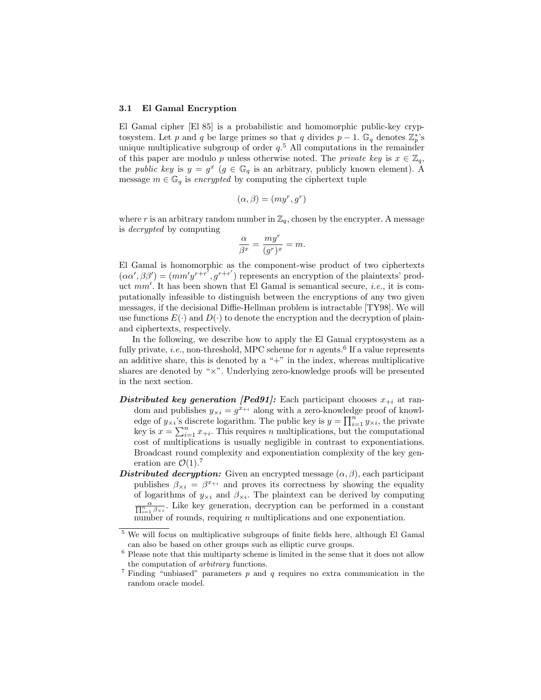#### 3.1 El Gamal Encryption

El Gamal cipher [El 85] is a probabilistic and homomorphic public-key crypto system. Let p and q be large primes so that q divides  $p-1$ .  $\mathbb{G}_q$  denotes  $\mathbb{Z}_p^*$ 's unique multiplicative subgroup of order  $q<sup>5</sup>$ . All computations in the remainder of this paper are modulo p unless otherwise noted. The private key is  $x \in \mathbb{Z}_q$ , the *public key* is  $y = g^x$  ( $g \in \mathbb{G}_q$  is an arbitrary, publicly known element). A message  $m \in \mathbb{G}_q$  is encrypted by computing the ciphertext tuple

$$
(\alpha, \beta) = (my^r, g^r)
$$

where r is an arbitrary random number in  $\mathbb{Z}_q$ , chosen by the encrypter. A message is decrypted by computing

$$
\frac{\alpha}{\beta^x} = \frac{my^r}{(g^r)^x} = m.
$$

El Gamal is homomorphic as the component-wise product of two ciphertexts  $(\alpha \alpha', \beta \beta') = (mm' y^{r+r'}, g^{r+r'})$  represents an encryption of the plaintexts' product mm'. It has been shown that El Gamal is semantical secure, *i.e.*, it is computationally infeasible to distinguish between the encryptions of any two given messages, if the decisional Diffie-Hellman problem is intractable [TY98]. We will use functions  $E(\cdot)$  and  $D(\cdot)$  to denote the encryption and the decryption of plainand ciphertexts, respectively.

In the following, we describe how to apply the El Gamal cryptosystem as a fully private, *i.e.*, non-threshold, MPC scheme for *n* agents.<sup>6</sup> If a value represents an additive share, this is denoted by a " $+$ " in the index, whereas multiplicative shares are denoted by "×". Underlying zero-knowledge proofs will be presented in the next section.

- Distributed key generation [Ped91]: Each participant chooses  $x_{+i}$  at random and publishes  $y_{\times i} = g^{x_{+i}}$  along with a zero-knowledge proof of knowledge of  $y_{\times i}$ 's discrete logarithm. The public key is  $y = \prod_{i=1}^{n} y_{\times i}$ , the private key is  $x = \sum_{i=1}^{n} x_{+i}$ . This requires n multiplications, but the computational cost of multiplications is usually negligible in contrast to exponentiations. Broadcast round complexity and exponentiation complexity of the key generation are  $\mathcal{O}(1).7$
- Distributed decryption: Given an encrypted message  $(\alpha, \beta)$ , each participant publishes  $\beta_{\times i} = \beta^{x+i}$  and proves its correctness by showing the equality of logarithms of  $y_{\times i}$  and  $\beta_{\times i}$ . The plaintext can be derived by computing  $\frac{\alpha}{\prod_{i=1}^n \beta_{\times i}}$ . Like key generation, decryption can be performed in a constant number of rounds, requiring  $n$  multiplications and one exponentiation.

<sup>5</sup> We will focus on multiplicative subgroups of finite fields here, although El Gamal can also be based on other groups such as elliptic curve groups.

 $6$  Please note that this multiparty scheme is limited in the sense that it does not allow the computation of arbitrary functions.

<sup>&</sup>lt;sup>7</sup> Finding "unbiased" parameters  $p$  and  $q$  requires no extra communication in the random oracle model.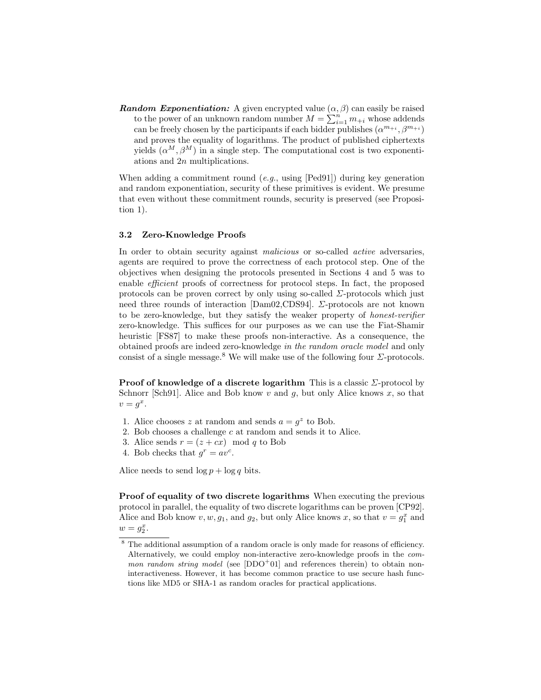**Random Exponentiation:** A given encrypted value  $(\alpha, \beta)$  can easily be raised to the power of an unknown random number  $M = \sum_{i=1}^{n} m_{+i}$  whose addends can be freely chosen by the participants if each bidder publishes  $(\alpha^{m+i}, \beta^{m+i})$ and proves the equality of logarithms. The product of published ciphertexts yields  $(\alpha^M, \beta^M)$  in a single step. The computational cost is two exponentiations and 2n multiplications.

When adding a commitment round  $(e.g.,$  using  $[Ped91])$  during key generation and random exponentiation, security of these primitives is evident. We presume that even without these commitment rounds, security is preserved (see Proposition 1).

#### 3.2 Zero-Knowledge Proofs

In order to obtain security against *malicious* or so-called *active* adversaries, agents are required to prove the correctness of each protocol step. One of the objectives when designing the protocols presented in Sections 4 and 5 was to enable efficient proofs of correctness for protocol steps. In fact, the proposed protocols can be proven correct by only using so-called  $\Sigma$ -protocols which just need three rounds of interaction [Dam02,CDS94].  $\Sigma$ -protocols are not known to be zero-knowledge, but they satisfy the weaker property of honest-verifier zero-knowledge. This suffices for our purposes as we can use the Fiat-Shamir heuristic [FS87] to make these proofs non-interactive. As a consequence, the obtained proofs are indeed zero-knowledge in the random oracle model and only consist of a single message.<sup>8</sup> We will make use of the following four  $\Sigma$ -protocols.

**Proof of knowledge of a discrete logarithm** This is a classic  $\Sigma$ -protocol by Schnorr [Sch91]. Alice and Bob know  $v$  and  $g$ , but only Alice knows  $x$ , so that  $v = g^x$ .

- 1. Alice chooses z at random and sends  $a = g^z$  to Bob.
- 2. Bob chooses a challenge c at random and sends it to Alice.
- 3. Alice sends  $r = (z + cx) \mod q$  to Bob
- 4. Bob checks that  $g^r = av^c$ .

Alice needs to send  $\log p + \log q$  bits.

Proof of equality of two discrete logarithms When executing the previous protocol in parallel, the equality of two discrete logarithms can be proven [CP92]. Alice and Bob know  $v, w, g_1$ , and  $g_2$ , but only Alice knows x, so that  $v = g_1^x$  and  $w = g_2^x$ .

<sup>8</sup> The additional assumption of a random oracle is only made for reasons of efficiency. Alternatively, we could employ non-interactive zero-knowledge proofs in the com*mon random string model* (see  $[DDO<sup>+</sup>01]$  and references therein) to obtain noninteractiveness. However, it has become common practice to use secure hash functions like MD5 or SHA-1 as random oracles for practical applications.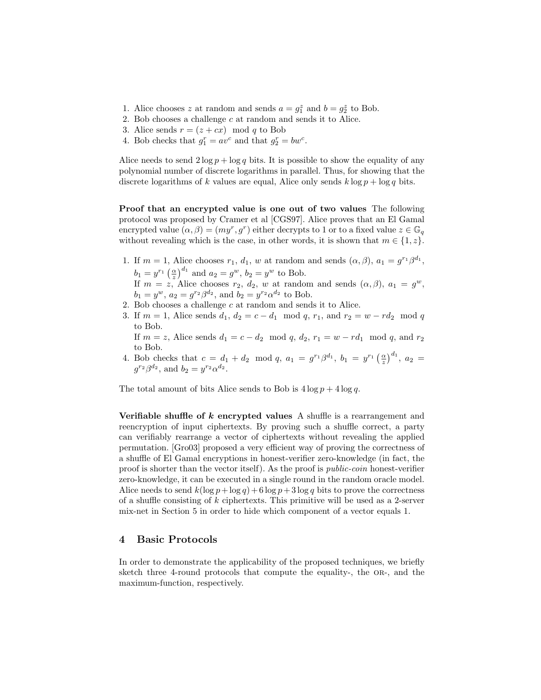- 1. Alice chooses z at random and sends  $a = g_1^z$  and  $b = g_2^z$  to Bob.
- 2. Bob chooses a challenge c at random and sends it to Alice.
- 3. Alice sends  $r = (z + cx) \mod q$  to Bob
- 4. Bob checks that  $g_1^r = av^c$  and that  $g_2^r = bw^c$ .

Alice needs to send  $2 \log p + \log q$  bits. It is possible to show the equality of any polynomial number of discrete logarithms in parallel. Thus, for showing that the discrete logarithms of k values are equal, Alice only sends  $k \log p + \log q$  bits.

Proof that an encrypted value is one out of two values The following protocol was proposed by Cramer et al [CGS97]. Alice proves that an El Gamal encrypted value  $(\alpha, \beta) = (my^r, g^r)$  either decrypts to 1 or to a fixed value  $z \in \mathbb{G}_q$ without revealing which is the case, in other words, it is shown that  $m \in \{1, z\}$ .

- 1. If  $m = 1$ , Alice chooses  $r_1, d_1, w$  at random and sends  $(\alpha, \beta), a_1 = g^{r_1} \beta^{d_1}$ ,  $b_1 = y^{r_1} \left(\frac{\alpha}{z}\right)^{d_1}$  and  $a_2 = g^w$ ,  $b_2 = y^w$  to Bob. If  $m = z$ , Alice chooses  $r_2$ ,  $d_2$ , w at random and sends  $(\alpha, \beta)$ ,  $a_1 = g^w$ ,  $b_1 = y^w$ ,  $a_2 = g^{r_2} \beta^{d_2}$ , and  $b_2 = y^{r_2} \alpha^{d_2}$  to Bob.
- 2. Bob chooses a challenge  $c$  at random and sends it to Alice.
- 3. If  $m = 1$ , Alice sends  $d_1, d_2 = c d_1 \mod q$ ,  $r_1$ , and  $r_2 = w rd_2 \mod q$ to Bob.

If  $m = z$ , Alice sends  $d_1 = c - d_2 \mod q$ ,  $d_2$ ,  $r_1 = w - rd_1 \mod q$ , and  $r_2$ to Bob.

4. Bob checks that  $c = d_1 + d_2 \mod q$ ,  $a_1 = g^{r_1} \beta^{d_1}$ ,  $b_1 = y^{r_1} \left(\frac{\alpha}{z}\right)^{d_1}$ ,  $a_2 =$  $g^{r_2}\beta^{d_2}$ , and  $b_2 = y^{r_2}\alpha^{d_2}$ .

The total amount of bits Alice sends to Bob is  $4 \log p + 4 \log q$ .

Verifiable shuffle of  $k$  encrypted values A shuffle is a rearrangement and reencryption of input ciphertexts. By proving such a shuffle correct, a party can verifiably rearrange a vector of ciphertexts without revealing the applied permutation. [Gro03] proposed a very efficient way of proving the correctness of a shuffle of El Gamal encryptions in honest-verifier zero-knowledge (in fact, the proof is shorter than the vector itself). As the proof is public-coin honest-verifier zero-knowledge, it can be executed in a single round in the random oracle model. Alice needs to send  $k(\log p + \log q) + 6 \log p + 3 \log q$  bits to prove the correctness of a shuffle consisting of k ciphertexts. This primitive will be used as a 2-server mix-net in Section 5 in order to hide which component of a vector equals 1.

## 4 Basic Protocols

In order to demonstrate the applicability of the proposed techniques, we briefly sketch three 4-round protocols that compute the equality-, the OR-, and the maximum-function, respectively.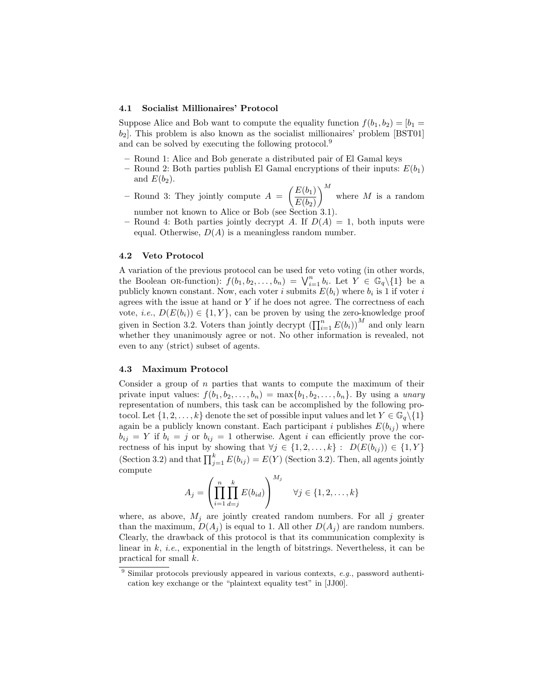#### 4.1 Socialist Millionaires' Protocol

Suppose Alice and Bob want to compute the equality function  $f(b_1, b_2) = [b_1 =$  $b_2$ . This problem is also known as the socialist millionaires' problem [BST01] and can be solved by executing the following protocol.<sup>9</sup>

- Round 1: Alice and Bob generate a distributed pair of El Gamal keys
- Round 2: Both parties publish El Gamal encryptions of their inputs:  $E(b_1)$ and  $E(b_2)$ .
- Round 3: They jointly compute  $A = \begin{pmatrix} E(b_1) \\ \overline{E(b_1)} \end{pmatrix}$  $E(b_2)$  $\bigg)^M$  where M is a random number not known to Alice or Bob (see Section 3.1).
- Round 4: Both parties jointly decrypt A. If  $D(A) = 1$ , both inputs were equal. Otherwise,  $D(A)$  is a meaningless random number.

#### 4.2 Veto Protocol

A variation of the previous protocol can be used for veto voting (in other words, the Boolean OR-function):  $f(b_1, b_2, \ldots, b_n) = \bigvee_{i=1}^n b_i$ . Let  $Y \in \mathbb{G}_q \setminus \{1\}$  be a publicly known constant. Now, each voter i submits  $E(b_i)$  where  $b_i$  is 1 if voter i agrees with the issue at hand or  $Y$  if he does not agree. The correctness of each vote, *i.e.*,  $D(E(b_i)) \in \{1, Y\}$ , can be proven by using the zero-knowledge proof given in Section 3.2. Voters than jointly decrypt  $\left(\prod_{i=1}^{n} E(b_i)\right)^M$  and only learn whether they unanimously agree or not. No other information is revealed, not even to any (strict) subset of agents.

#### 4.3 Maximum Protocol

Consider a group of  $n$  parties that wants to compute the maximum of their private input values:  $f(b_1, b_2, \ldots, b_n) = \max\{b_1, b_2, \ldots, b_n\}$ . By using a *unary* representation of numbers, this task can be accomplished by the following protocol. Let  $\{1, 2, \ldots, k\}$  denote the set of possible input values and let  $Y \in \mathbb{G}_q \backslash \{1\}$ again be a publicly known constant. Each participant i publishes  $E(b_{ij})$  where  $b_{ij} = Y$  if  $b_i = j$  or  $b_{ij} = 1$  otherwise. Agent i can efficiently prove the correctness of his input by showing that  $\forall j \in \{1, 2, ..., k\} : D(E(b_{ij})) \in \{1, Y\}$ (Section 3.2) and that  $\prod_{j=1}^{k} E(b_{ij}) = E(Y)$  (Section 3.2). Then, all agents jointly compute

$$
A_j = \left(\prod_{i=1}^n \prod_{d=j}^k E(b_{id})\right)^{M_j} \quad \forall j \in \{1, 2, \dots, k\}
$$

where, as above,  $M_j$  are jointly created random numbers. For all j greater than the maximum,  $D(A_i)$  is equal to 1. All other  $D(A_i)$  are random numbers. Clearly, the drawback of this protocol is that its communication complexity is linear in  $k$ , *i.e.*, exponential in the length of bitstrings. Nevertheless, it can be practical for small k.

 $9$  Similar protocols previously appeared in various contexts, e.g., password authentication key exchange or the "plaintext equality test" in [JJ00].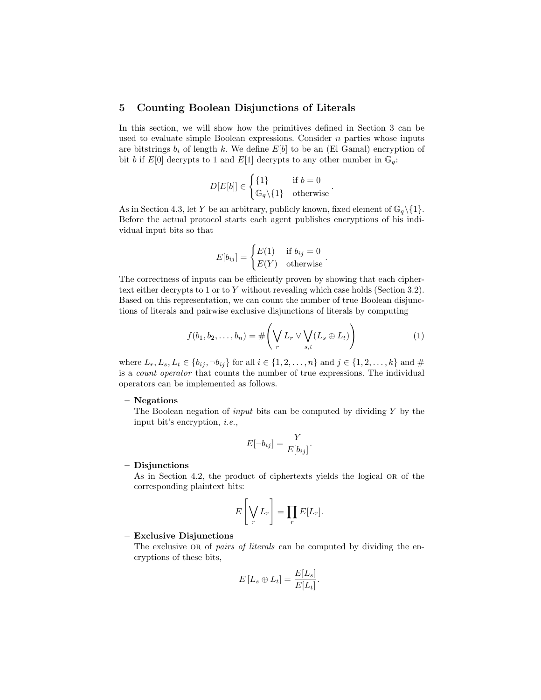#### 5 Counting Boolean Disjunctions of Literals

In this section, we will show how the primitives defined in Section 3 can be used to evaluate simple Boolean expressions. Consider  $n$  parties whose inputs are bitstrings  $b_i$  of length k. We define  $E[b]$  to be an (El Gamal) encryption of bit b if  $E[0]$  decrypts to 1 and  $E[1]$  decrypts to any other number in  $\mathbb{G}_q$ :

$$
D[E[b]]\in\begin{cases}\{1\} & \text{if }b=0\\ \mathbb{G}_q\backslash\{1\} & \text{otherwise}\end{cases}
$$

As in Section 4.3, let Y be an arbitrary, publicly known, fixed element of  $\mathbb{G}_q \setminus \{1\}.$ Before the actual protocol starts each agent publishes encryptions of his individual input bits so that

$$
E[b_{ij}] = \begin{cases} E(1) & \text{if } b_{ij} = 0\\ E(Y) & \text{otherwise} \end{cases}
$$

The correctness of inputs can be efficiently proven by showing that each ciphertext either decrypts to 1 or to Y without revealing which case holds (Section 3.2). Based on this representation, we can count the number of true Boolean disjunctions of literals and pairwise exclusive disjunctions of literals by computing

$$
f(b_1, b_2, \dots, b_n) = \# \left( \bigvee_r L_r \vee \bigvee_{s,t} (L_s \oplus L_t) \right) \tag{1}
$$

.

.

where  $L_r, L_s, L_t \in \{b_{ij}, \neg b_{ij}\}$  for all  $i \in \{1, 2, ..., n\}$  and  $j \in \{1, 2, ..., k\}$  and  $\#$ is a count operator that counts the number of true expressions. The individual operators can be implemented as follows.

#### – Negations

The Boolean negation of *input* bits can be computed by dividing  $Y$  by the input bit's encryption, i.e.,

$$
E[\neg b_{ij}] = \frac{Y}{E[b_{ij}]}.
$$

#### – Disjunctions

As in Section 4.2, the product of ciphertexts yields the logical OR of the corresponding plaintext bits:

$$
E\left[\bigvee_r L_r\right] = \prod_r E[L_r].
$$

#### – Exclusive Disjunctions

The exclusive OR of *pairs of literals* can be computed by dividing the encryptions of these bits,

$$
E[L_s \oplus L_t] = \frac{E[L_s]}{E[L_t]}.
$$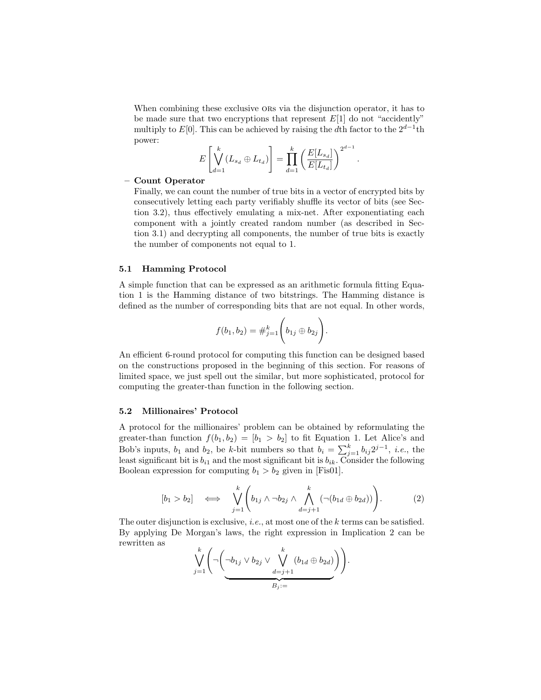When combining these exclusive ors via the disjunction operator, it has to be made sure that two encryptions that represent  $E[1]$  do not "accidently" multiply to E[0]. This can be achieved by raising the dth factor to the  $2^{d-1}$ th power:

$$
E\left[\bigvee_{d=1}^{k} (L_{s_d} \oplus L_{t_d})\right] = \prod_{d=1}^{k} \left(\frac{E[L_{s_d}]}{E[L_{t_d}]} \right)^{2^{d-1}}
$$

.

#### – Count Operator

Finally, we can count the number of true bits in a vector of encrypted bits by consecutively letting each party verifiably shuffle its vector of bits (see Section 3.2), thus effectively emulating a mix-net. After exponentiating each component with a jointly created random number (as described in Section 3.1) and decrypting all components, the number of true bits is exactly the number of components not equal to 1.

#### 5.1 Hamming Protocol

A simple function that can be expressed as an arithmetic formula fitting Equation 1 is the Hamming distance of two bitstrings. The Hamming distance is defined as the number of corresponding bits that are not equal. In other words,

$$
f(b_1, b_2) = #_{j=1}^k \left(b_{1j} \oplus b_{2j}\right).
$$

An efficient 6-round protocol for computing this function can be designed based on the constructions proposed in the beginning of this section. For reasons of limited space, we just spell out the similar, but more sophisticated, protocol for computing the greater-than function in the following section.

#### 5.2 Millionaires' Protocol

A protocol for the millionaires' problem can be obtained by reformulating the greater-than function  $f(b_1, b_2) = [b_1 > b_2]$  to fit Equation 1. Let Alice's and Bob's inputs,  $b_1$  and  $b_2$ , be k-bit numbers so that  $b_i = \sum_{j=1}^k b_{ij} 2^{j-1}$ , *i.e.*, the least significant bit is  $b_{i1}$  and the most significant bit is  $b_{ik}$ . Consider the following Boolean expression for computing  $b_1 > b_2$  given in [Fis01].

$$
[b_1 > b_2] \iff \bigvee_{j=1}^k \left( b_{1j} \land \neg b_{2j} \land \bigwedge_{d=j+1}^k (\neg (b_{1d} \oplus b_{2d})) \right).
$$
 (2)

The outer disjunction is exclusive, *i.e.*, at most one of the k terms can be satisfied. By applying De Morgan's laws, the right expression in Implication 2 can be rewritten as

$$
\bigvee_{j=1}^k \left( \neg \left( \neg b_{1j} \lor b_{2j} \lor \bigvee_{\substack{d=j+1 \\ B_j :=}}^{k} (b_{1d} \oplus b_{2d}) \right) \right).
$$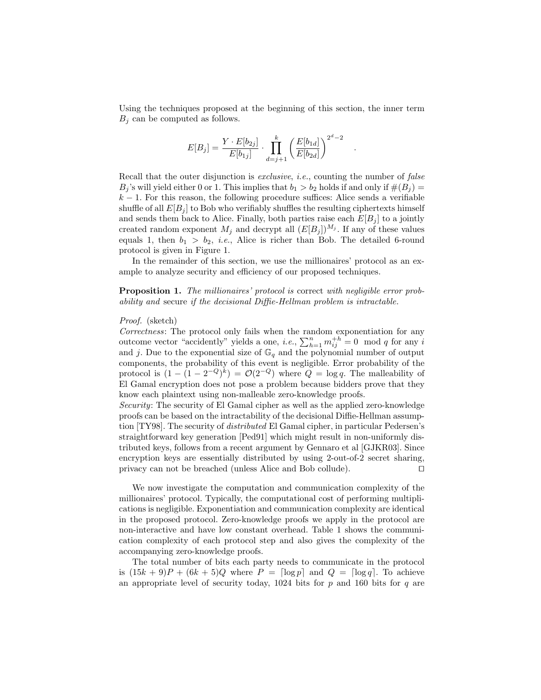Using the techniques proposed at the beginning of this section, the inner term  $B_i$  can be computed as follows.

$$
E[B_j] = \frac{Y \cdot E[b_{2j}]}{E[b_{1j}]} \cdot \prod_{d=j+1}^{k} \left(\frac{E[b_{1d}]}{E[b_{2d}]}\right)^{2^d-2}
$$

.

Recall that the outer disjunction is *exclusive*, *i.e.*, counting the number of *false*  $B_i$ 's will yield either 0 or 1. This implies that  $b_1 > b_2$  holds if and only if  $\#(B_i) =$  $k-1$ . For this reason, the following procedure suffices: Alice sends a verifiable shuffle of all  $E[B_i]$  to Bob who verifiably shuffles the resulting ciphertexts himself and sends them back to Alice. Finally, both parties raise each  $E[B_i]$  to a jointly created random exponent  $M_j$  and decrypt all  $(E[B_j])^{M_j}$ . If any of these values equals 1, then  $b_1 > b_2$ , *i.e.*, Alice is richer than Bob. The detailed 6-round protocol is given in Figure 1.

In the remainder of this section, we use the millionaires' protocol as an example to analyze security and efficiency of our proposed techniques.

Proposition 1. The millionaires' protocol is correct with negligible error probability and secure if the decisional Diffie-Hellman problem is intractable.

#### Proof. (sketch)

Correctness: The protocol only fails when the random exponentiation for any outcome vector "accidently" yields a one, *i.e.*,  $\sum_{h=1}^{n} m_{ij}^{+h} = 0 \mod q$  for any *i* and j. Due to the exponential size of  $\mathbb{G}_q$  and the polynomial number of output components, the probability of this event is negligible. Error probability of the protocol is  $(1 - (1 - 2^{-Q})^k) = \mathcal{O}(2^{-Q})$  where  $Q = \log q$ . The malleability of El Gamal encryption does not pose a problem because bidders prove that they know each plaintext using non-malleable zero-knowledge proofs.

Security: The security of El Gamal cipher as well as the applied zero-knowledge proofs can be based on the intractability of the decisional Diffie-Hellman assumption [TY98]. The security of distributed El Gamal cipher, in particular Pedersen's straightforward key generation [Ped91] which might result in non-uniformly distributed keys, follows from a recent argument by Gennaro et al [GJKR03]. Since encryption keys are essentially distributed by using 2-out-of-2 secret sharing, privacy can not be breached (unless Alice and Bob collude). ⊓⊔

We now investigate the computation and communication complexity of the millionaires' protocol. Typically, the computational cost of performing multiplications is negligible. Exponentiation and communication complexity are identical in the proposed protocol. Zero-knowledge proofs we apply in the protocol are non-interactive and have low constant overhead. Table 1 shows the communication complexity of each protocol step and also gives the complexity of the accompanying zero-knowledge proofs.

The total number of bits each party needs to communicate in the protocol is  $(15k+9)P + (6k+5)Q$  where  $P = \lceil \log p \rceil$  and  $Q = \lceil \log q \rceil$ . To achieve an appropriate level of security today,  $1024$  bits for p and 160 bits for q are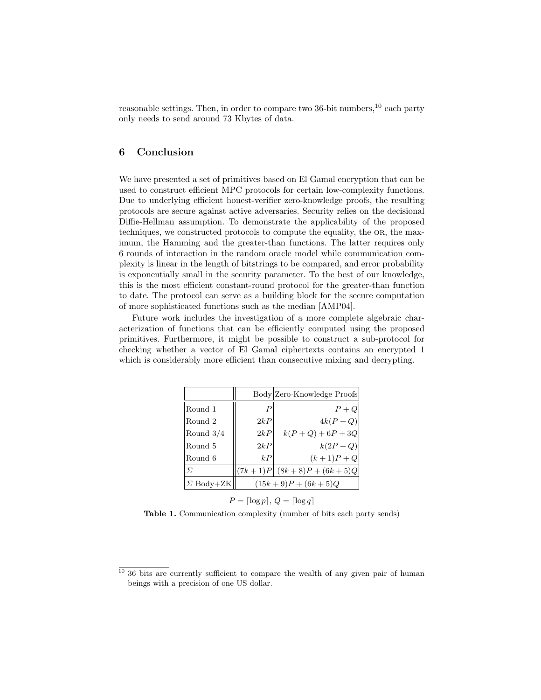reasonable settings. Then, in order to compare two  $36$ -bit numbers,  $^{10}$  each party only needs to send around 73 Kbytes of data.

## 6 Conclusion

We have presented a set of primitives based on El Gamal encryption that can be used to construct efficient MPC protocols for certain low-complexity functions. Due to underlying efficient honest-verifier zero-knowledge proofs, the resulting protocols are secure against active adversaries. Security relies on the decisional Diffie-Hellman assumption. To demonstrate the applicability of the proposed techniques, we constructed protocols to compute the equality, the OR, the maximum, the Hamming and the greater-than functions. The latter requires only 6 rounds of interaction in the random oracle model while communication complexity is linear in the length of bitstrings to be compared, and error probability is exponentially small in the security parameter. To the best of our knowledge, this is the most efficient constant-round protocol for the greater-than function to date. The protocol can serve as a building block for the secure computation of more sophisticated functions such as the median [AMP04].

Future work includes the investigation of a more complete algebraic characterization of functions that can be efficiently computed using the proposed primitives. Furthermore, it might be possible to construct a sub-protocol for checking whether a vector of El Gamal ciphertexts contains an encrypted 1 which is considerably more efficient than consecutive mixing and decrypting.

|                           |                  | Body Zero-Knowledge Proofs  |
|---------------------------|------------------|-----------------------------|
| Round 1                   | $\boldsymbol{P}$ | $P+Q$                       |
| Round 2                   | 2kP              | $4k(P+Q)$                   |
| $\sqrt{\text{Round }3/4}$ | 2kP              | $k(P+Q) + 6P + 3Q$          |
| Round 5                   | 2kP              | $k(2P+Q)$                   |
| Round 6                   | kP               | $(k+1)P + Q$                |
| $\Sigma$                  |                  | $ (7k+1)P (8k+8)P+(6k+5)Q $ |
| $\Sigma$ Body+ZK          |                  | $(15k+9)P + (6k+5)Q$        |

 $P = \lceil \log p \rceil, Q = \lceil \log q \rceil$ 

Table 1. Communication complexity (number of bits each party sends)

 $10\,36$  bits are currently sufficient to compare the wealth of any given pair of human beings with a precision of one US dollar.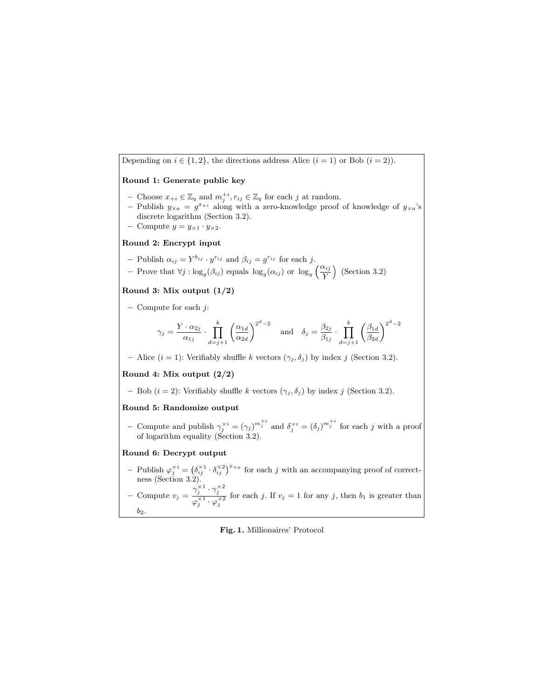Depending on  $i \in \{1,2\}$ , the directions address Alice  $(i = 1)$  or Bob  $(i = 2)$ ). Round 1: Generate public key - Choose  $x_{+i} \in \mathbb{Z}_q$  and  $m_j^{+i}, r_{ij} \in \mathbb{Z}_q$  for each j at random. - Publish  $y_{\times a} = g^{x+i}$  along with a zero-knowledge proof of knowledge of  $y_{\times a}$ 's

- discrete logarithm (Section 3.2).
- Compute  $y = y_{\times 1} \cdot y_{\times 2}$ .

#### Round 2: Encrypt input

- Publish  $\alpha_{ij} = Y^{b_{ij}} \cdot y^{r_{ij}}$  and  $\beta_{ij} = g^{r_{ij}}$  for each j.
- Prove that ∀j : log<sub>g</sub>( $\beta_{ij}$ ) equals log<sub>y</sub>( $\alpha_{ij}$ ) or log<sub>y</sub>  $\left(\frac{\alpha_{ij}}{V}\right)$  (Section 3.2)  $\overline{Y}^{iij}$  (Section 3.2)

#### Round 3: Mix output  $(1/2)$

 $-$  Compute for each  $i$ :

$$
\gamma_j = \frac{Y \cdot \alpha_{2j}}{\alpha_{1j}} \cdot \prod_{d=j+1}^k \left(\frac{\alpha_{1d}}{\alpha_{2d}}\right)^{2^d - 2} \quad \text{and} \quad \delta_j = \frac{\beta_{2j}}{\beta_{1j}} \cdot \prod_{d=j+1}^k \left(\frac{\beta_{1d}}{\beta_{2d}}\right)^{2^d - 2}
$$

– Alice  $(i = 1)$ : Verifiably shuffle k vectors  $(\gamma_j, \delta_j)$  by index j (Section 3.2).

#### Round 4: Mix output (2/2)

– Bob  $(i = 2)$ : Verifiably shuffle k vectors  $(\gamma_j, \delta_j)$  by index j (Section 3.2).

## Round 5: Randomize output

- Compute and publish  $\gamma_j^{\times i} = (\gamma_j)^{m_j^{i+i}}$  and  $\delta_j^{\times i} = (\delta_j)^{m_j^{i+i}}$  for each j with a proof of logarithm equality (Section 3.2).

#### Round 6: Decrypt output

- Publish  $\varphi_j^{\times i} = (\delta_{ij}^{\times 1} \cdot \delta_{ij}^{\times 2})^{x+a}$  for each j with an accompanying proof of correctness (Section 3.2).
- Compute  $v_j = \frac{\gamma_j^{\times 1} \cdot \gamma_j^{\times 2}}{\frac{\gamma_j}{\times 1} \cdot \frac{\gamma_j}{\times 2}}$  $\overline{\varphi_j^{\times 1} \cdot \varphi_j^{\times 2}}$ for each j. If  $v_j = 1$  for any j, then  $b_1$  is greater than  $b<sub>2</sub>$

#### Fig. 1. Millionaires' Protocol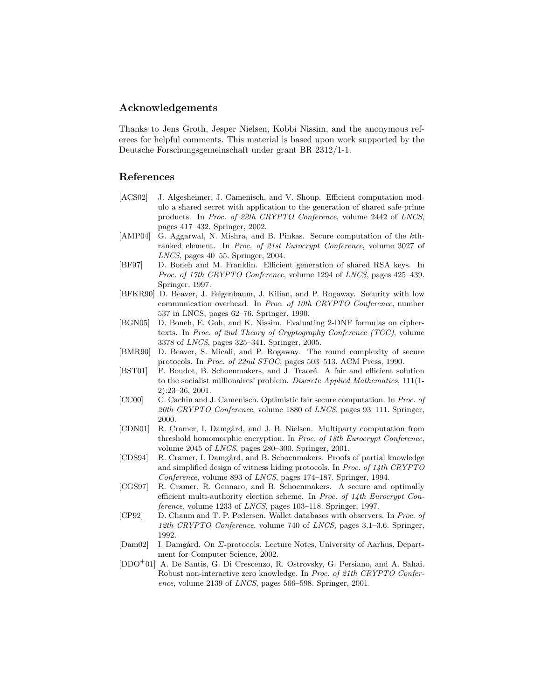## Acknowledgements

Thanks to Jens Groth, Jesper Nielsen, Kobbi Nissim, and the anonymous referees for helpful comments. This material is based upon work supported by the Deutsche Forschungsgemeinschaft under grant BR 2312/1-1.

## References

- [ACS02] J. Algesheimer, J. Camenisch, and V. Shoup. Efficient computation modulo a shared secret with application to the generation of shared safe-prime products. In Proc. of 22th CRYPTO Conference, volume 2442 of LNCS, pages 417–432. Springer, 2002.
- [AMP04] G. Aggarwal, N. Mishra, and B. Pinkas. Secure computation of the kthranked element. In Proc. of 21st Eurocrypt Conference, volume 3027 of LNCS, pages 40–55. Springer, 2004.
- [BF97] D. Boneh and M. Franklin. Efficient generation of shared RSA keys. In Proc. of 17th CRYPTO Conference, volume 1294 of LNCS, pages 425–439. Springer, 1997.
- [BFKR90] D. Beaver, J. Feigenbaum, J. Kilian, and P. Rogaway. Security with low communication overhead. In Proc. of 10th CRYPTO Conference, number 537 in LNCS, pages 62–76. Springer, 1990.
- [BGN05] D. Boneh, E. Goh, and K. Nissim. Evaluating 2-DNF formulas on ciphertexts. In Proc. of 2nd Theory of Cryptography Conference (TCC), volume 3378 of LNCS, pages 325–341. Springer, 2005.
- [BMR90] D. Beaver, S. Micali, and P. Rogaway. The round complexity of secure protocols. In Proc. of 22nd STOC, pages 503–513. ACM Press, 1990.
- [BST01] F. Boudot, B. Schoenmakers, and J. Traoré. A fair and efficient solution to the socialist millionaires' problem. Discrete Applied Mathematics, 111(1- 2):23–36, 2001.
- [CC00] C. Cachin and J. Camenisch. Optimistic fair secure computation. In Proc. of 20th CRYPTO Conference, volume 1880 of LNCS, pages  $93-111$ . Springer, 2000.
- [CDN01] R. Cramer, I. Damgård, and J. B. Nielsen. Multiparty computation from threshold homomorphic encryption. In Proc. of 18th Eurocrypt Conference, volume  $2045$  of  $LNCS$ , pages  $280-300$ . Springer,  $2001$ .
- [CDS94] R. Cramer, I. Damgård, and B. Schoenmakers. Proofs of partial knowledge and simplified design of witness hiding protocols. In Proc. of 14th CRYPTO Conference, volume 893 of LNCS, pages 174–187. Springer, 1994.
- [CGS97] R. Cramer, R. Gennaro, and B. Schoenmakers. A secure and optimally efficient multi-authority election scheme. In Proc. of 14th Eurocrypt Conference, volume 1233 of LNCS, pages 103–118. Springer, 1997.
- [CP92] D. Chaum and T. P. Pedersen. Wallet databases with observers. In Proc. of 12th CRYPTO Conference, volume 740 of LNCS, pages 3.1–3.6. Springer, 1992.
- [Dam02] I. Damgård. On  $\Sigma$ -protocols. Lecture Notes, University of Aarhus, Department for Computer Science, 2002.
- [DDO<sup>+</sup>01] A. De Santis, G. Di Crescenzo, R. Ostrovsky, G. Persiano, and A. Sahai. Robust non-interactive zero knowledge. In Proc. of 21th CRYPTO Conference, volume 2139 of LNCS, pages 566–598. Springer, 2001.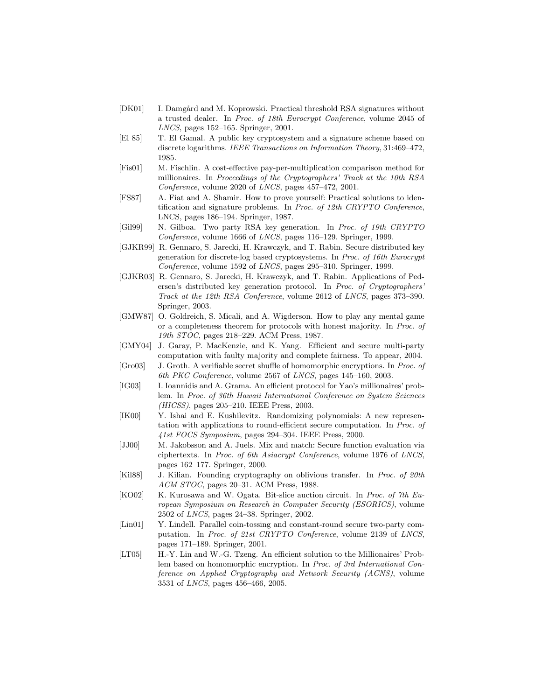- [DK01] I. Damgård and M. Koprowski. Practical threshold RSA signatures without a trusted dealer. In Proc. of 18th Eurocrypt Conference, volume 2045 of LNCS, pages 152–165. Springer, 2001.
- [El 85] T. El Gamal. A public key cryptosystem and a signature scheme based on discrete logarithms. IEEE Transactions on Information Theory, 31:469-472, 1985.
- [Fis01] M. Fischlin. A cost-effective pay-per-multiplication comparison method for millionaires. In Proceedings of the Cryptographers' Track at the 10th RSA Conference, volume 2020 of LNCS, pages 457–472, 2001.
- [FS87] A. Fiat and A. Shamir. How to prove yourself: Practical solutions to identification and signature problems. In *Proc. of 12th CRYPTO Conference*, LNCS, pages 186–194. Springer, 1987.
- [Gil99] N. Gilboa. Two party RSA key generation. In Proc. of 19th CRYPTO Conference, volume 1666 of LNCS, pages 116–129. Springer, 1999.
- [GJKR99] R. Gennaro, S. Jarecki, H. Krawczyk, and T. Rabin. Secure distributed key generation for discrete-log based cryptosystems. In Proc. of 16th Eurocrypt Conference, volume 1592 of LNCS, pages 295–310. Springer, 1999.
- [GJKR03] R. Gennaro, S. Jarecki, H. Krawczyk, and T. Rabin. Applications of Pedersen's distributed key generation protocol. In Proc. of Cryptographers' Track at the 12th RSA Conference, volume 2612 of LNCS, pages 373–390. Springer, 2003.
- [GMW87] O. Goldreich, S. Micali, and A. Wigderson. How to play any mental game or a completeness theorem for protocols with honest majority. In Proc. of 19th STOC, pages 218–229. ACM Press, 1987.
- [GMY04] J. Garay, P. MacKenzie, and K. Yang. Efficient and secure multi-party computation with faulty majority and complete fairness. To appear, 2004.
- [Gro03] J. Groth. A verifiable secret shuffle of homomorphic encryptions. In Proc. of 6th PKC Conference, volume 2567 of LNCS, pages 145–160, 2003.
- [IG03] I. Ioannidis and A. Grama. An efficient protocol for Yao's millionaires' problem. In Proc. of 36th Hawaii International Conference on System Sciences (HICSS), pages 205–210. IEEE Press, 2003.
- [IK00] Y. Ishai and E. Kushilevitz. Randomizing polynomials: A new representation with applications to round-efficient secure computation. In Proc. of 41st FOCS Symposium, pages 294–304. IEEE Press, 2000.
- [JJ00] M. Jakobsson and A. Juels. Mix and match: Secure function evaluation via ciphertexts. In Proc. of 6th Asiacrypt Conference, volume 1976 of LNCS, pages 162–177. Springer, 2000.
- [Kil88] J. Kilian. Founding cryptography on oblivious transfer. In Proc. of 20th ACM STOC, pages 20–31. ACM Press, 1988.
- [KO02] K. Kurosawa and W. Ogata. Bit-slice auction circuit. In Proc. of 7th European Symposium on Research in Computer Security (ESORICS), volume 2502 of LNCS, pages 24–38. Springer, 2002.
- [Lin01] Y. Lindell. Parallel coin-tossing and constant-round secure two-party computation. In Proc. of 21st CRYPTO Conference, volume 2139 of LNCS, pages 171–189. Springer, 2001.
- [LT05] H.-Y. Lin and W.-G. Tzeng. An efficient solution to the Millionaires' Problem based on homomorphic encryption. In Proc. of 3rd International Conference on Applied Cryptography and Network Security (ACNS), volume 3531 of LNCS, pages 456–466, 2005.